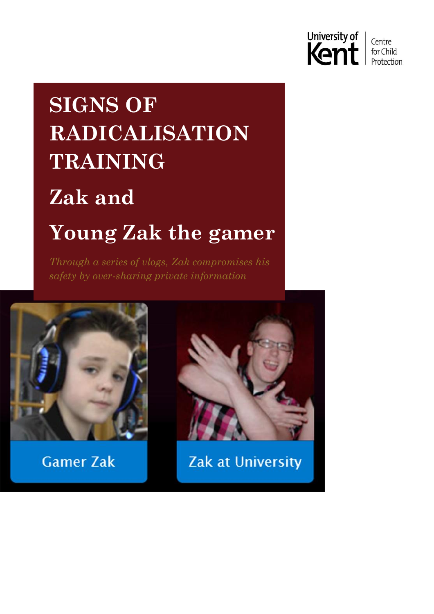

## **SIGNS OF RADICALISATION TRAINING Zak and Young Zak the gamer**

*Through a series of vlogs, Zak compromises his safety by over-sharing private information*



**Gamer Zak** 



Zak at University